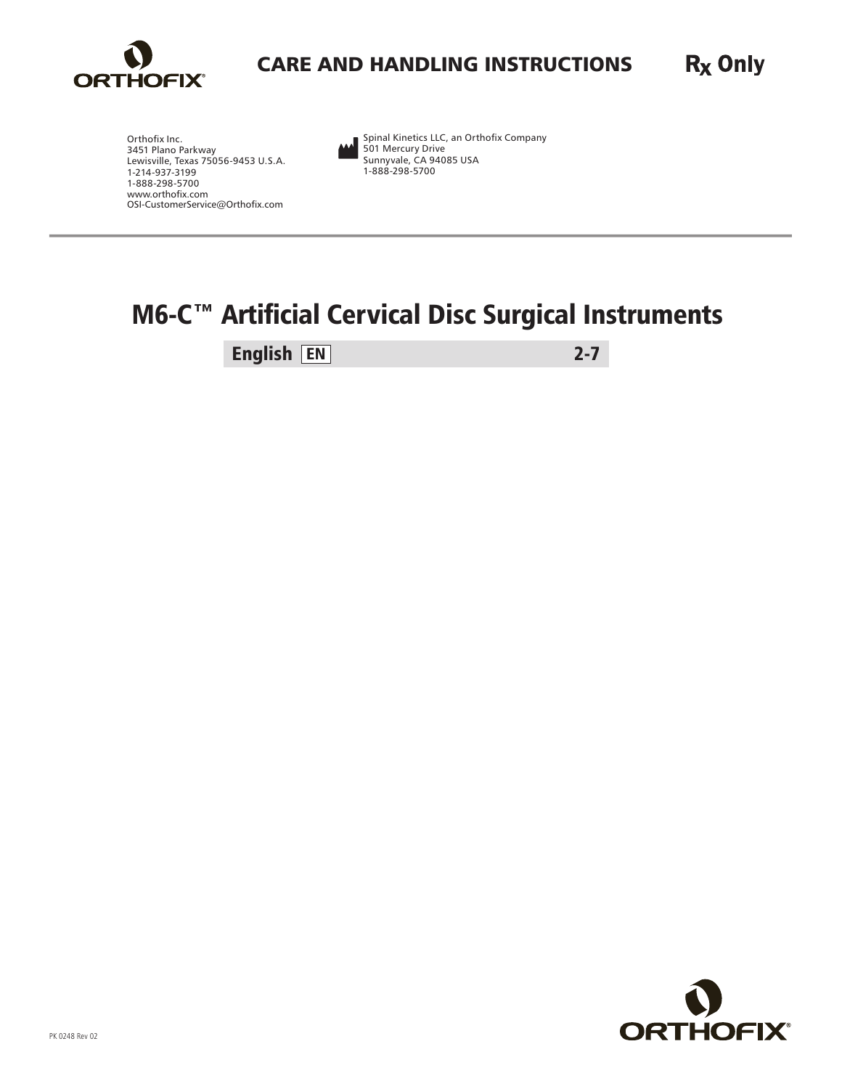

#### R<sub>x</sub> Only CARE AND HANDLING INSTRUCTIONS

Orthofix Inc. 3451 Plano Parkway Lewisville, Texas 75056-9453 U.S.A. 1-214-937-3199 1-888-298-5700 www.orthofix.com OSI-CustomerService@Orthofix.com Spinal Kinetics LLC, an Orthofix Company 501 Mercury Drive Sunnyvale, CA 94085 USA 1-888-298-5700

## M6-C<sup>™</sup> Artificial Cervical Disc Surgical Instruments

English EN 2-7

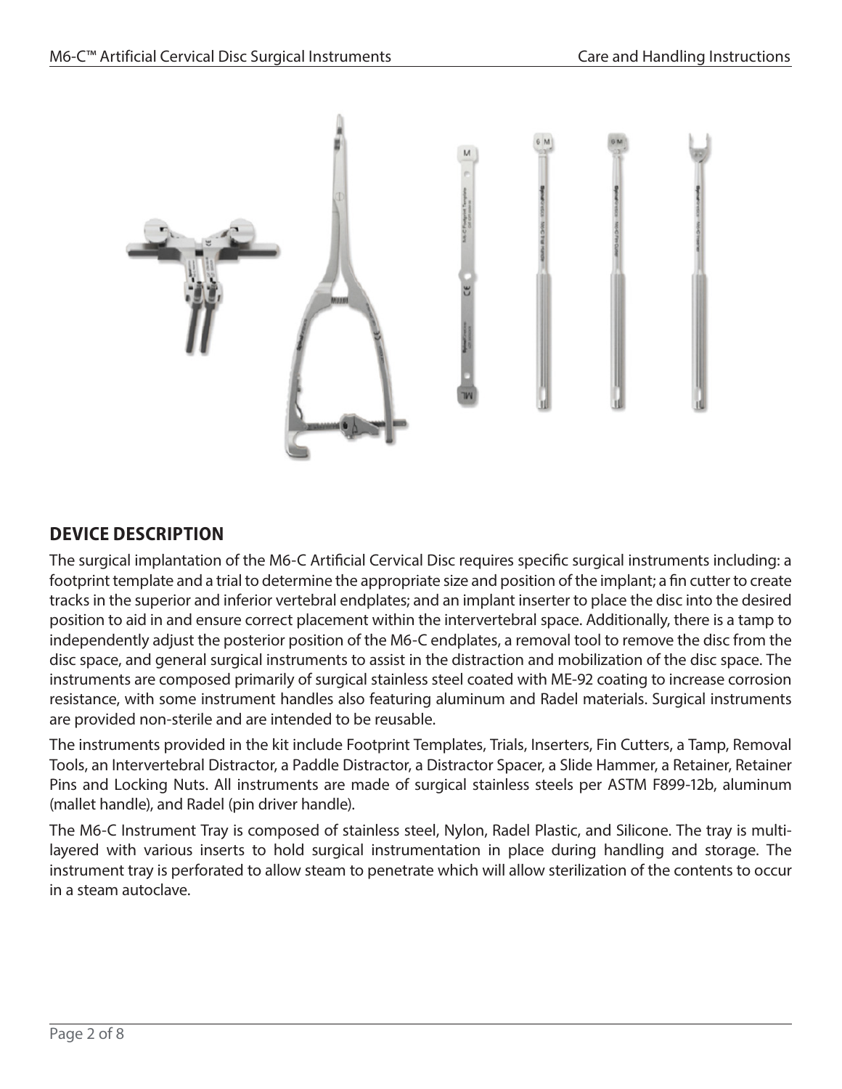

#### **DEVICE DESCRIPTION**

The surgical implantation of the M6-C Artificial Cervical Disc requires specific surgical instruments including: a footprint template and a trial to determine the appropriate size and position of the implant; a fin cutter to create tracks in the superior and inferior vertebral endplates; and an implant inserter to place the disc into the desired position to aid in and ensure correct placement within the intervertebral space. Additionally, there is a tamp to independently adjust the posterior position of the M6-C endplates, a removal tool to remove the disc from the disc space, and general surgical instruments to assist in the distraction and mobilization of the disc space. The instruments are composed primarily of surgical stainless steel coated with ME-92 coating to increase corrosion resistance, with some instrument handles also featuring aluminum and Radel materials. Surgical instruments are provided non-sterile and are intended to be reusable.

The instruments provided in the kit include Footprint Templates, Trials, Inserters, Fin Cutters, a Tamp, Removal Tools, an Intervertebral Distractor, a Paddle Distractor, a Distractor Spacer, a Slide Hammer, a Retainer, Retainer Pins and Locking Nuts. All instruments are made of surgical stainless steels per ASTM F899-12b, aluminum (mallet handle), and Radel (pin driver handle).

The M6-C Instrument Tray is composed of stainless steel, Nylon, Radel Plastic, and Silicone. The tray is multilayered with various inserts to hold surgical instrumentation in place during handling and storage. The instrument tray is perforated to allow steam to penetrate which will allow sterilization of the contents to occur in a steam autoclave.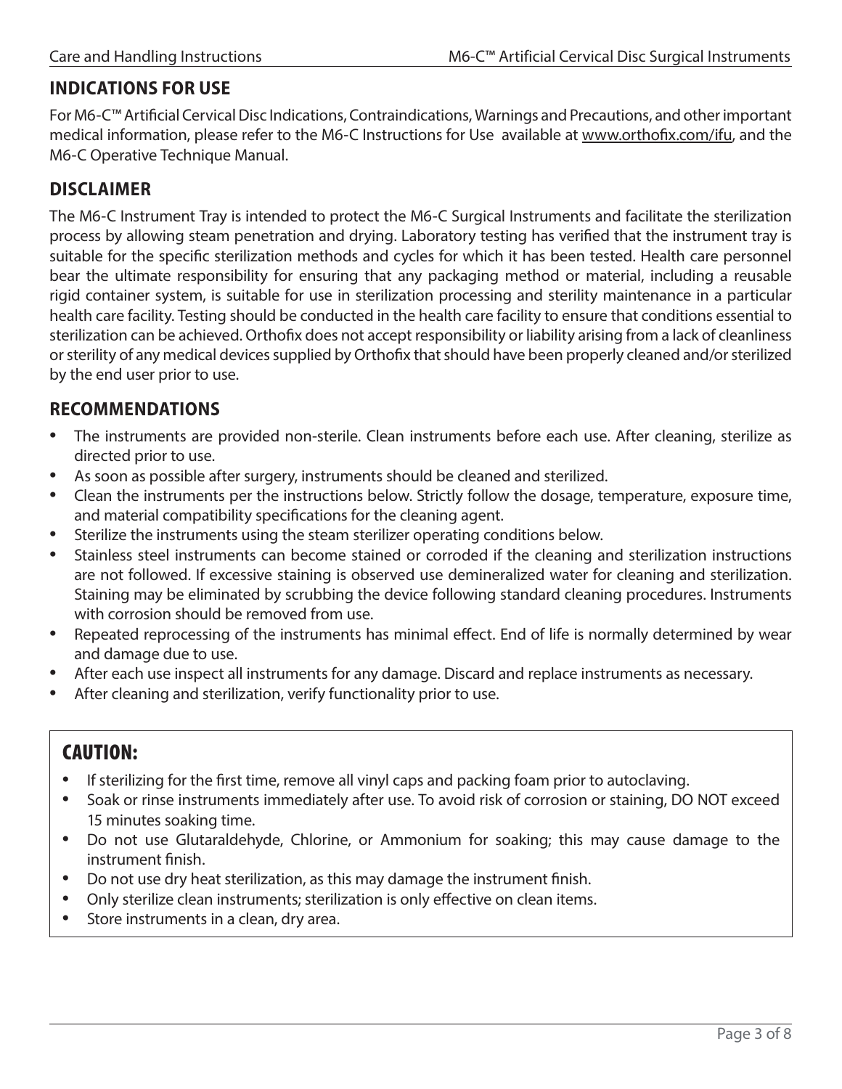#### **INDICATIONS FOR USE**

For M6-C™ Artificial Cervical Disc Indications, Contraindications, Warnings and Precautions, and other important medical information, please refer to the M6-C Instructions for Use available at [www.orthofix.com/ifu,](http://www.orthofix.com/ifu) and the M6-C Operative Technique Manual.

#### **DISCLAIMER**

The M6-C Instrument Tray is intended to protect the M6-C Surgical Instruments and facilitate the sterilization process by allowing steam penetration and drying. Laboratory testing has verified that the instrument tray is suitable for the specific sterilization methods and cycles for which it has been tested. Health care personnel bear the ultimate responsibility for ensuring that any packaging method or material, including a reusable rigid container system, is suitable for use in sterilization processing and sterility maintenance in a particular health care facility. Testing should be conducted in the health care facility to ensure that conditions essential to sterilization can be achieved. Orthofix does not accept responsibility or liability arising from a lack of cleanliness or sterility of any medical devices supplied by Orthofix that should have been properly cleaned and/or sterilized by the end user prior to use.

#### **RECOMMENDATIONS**

- The instruments are provided non-sterile. Clean instruments before each use. After cleaning, sterilize as directed prior to use.
- As soon as possible after surgery, instruments should be cleaned and sterilized.
- Clean the instruments per the instructions below. Strictly follow the dosage, temperature, exposure time, and material compatibility specifications for the cleaning agent.
- Sterilize the instruments using the steam sterilizer operating conditions below.
- Stainless steel instruments can become stained or corroded if the cleaning and sterilization instructions are not followed. If excessive staining is observed use demineralized water for cleaning and sterilization. Staining may be eliminated by scrubbing the device following standard cleaning procedures. Instruments with corrosion should be removed from use.
- Repeated reprocessing of the instruments has minimal effect. End of life is normally determined by wear and damage due to use.
- After each use inspect all instruments for any damage. Discard and replace instruments as necessary.
- After cleaning and sterilization, verify functionality prior to use.

### CAUTION:

- If sterilizing for the first time, remove all vinyl caps and packing foam prior to autoclaving.
- Soak or rinse instruments immediately after use. To avoid risk of corrosion or staining, DO NOT exceed 15 minutes soaking time.
- Do not use Glutaraldehyde, Chlorine, or Ammonium for soaking; this may cause damage to the instrument finish.
- Do not use dry heat sterilization, as this may damage the instrument finish.
- Only sterilize clean instruments; sterilization is only effective on clean items.
- Store instruments in a clean, dry area.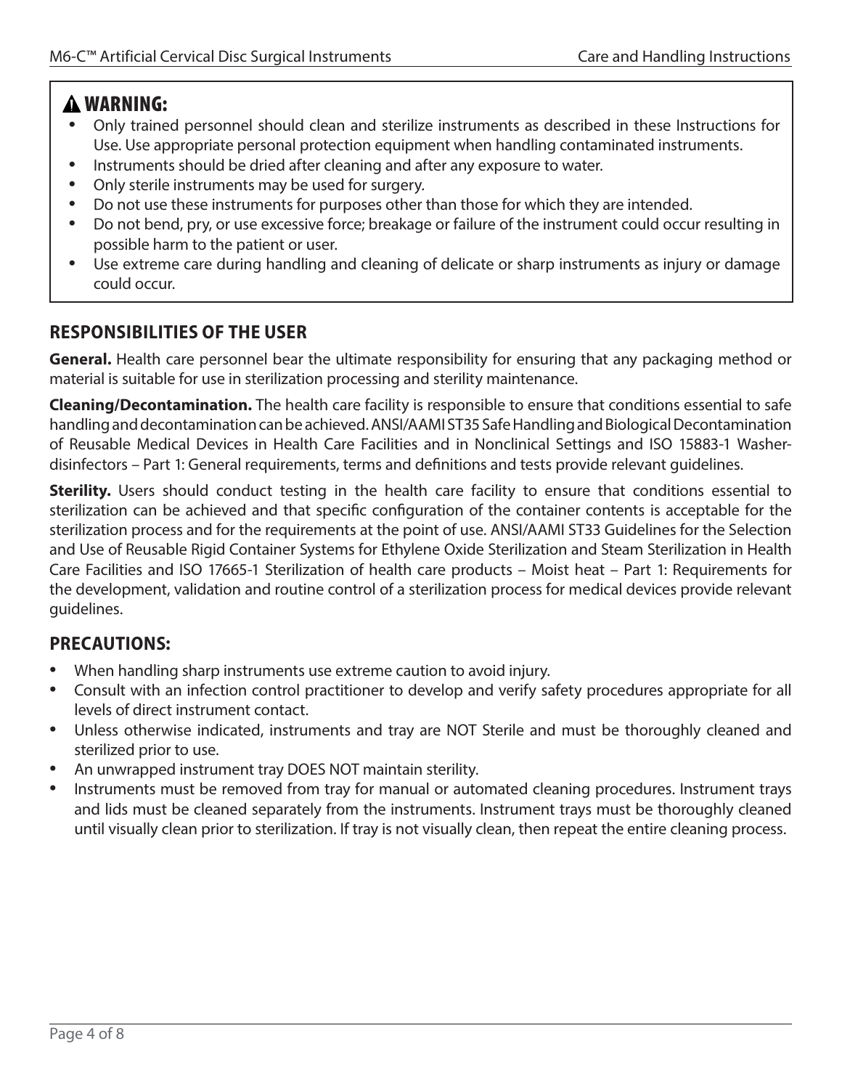#### WARNING:

- Only trained personnel should clean and sterilize instruments as described in these Instructions for Use. Use appropriate personal protection equipment when handling contaminated instruments.
- Instruments should be dried after cleaning and after any exposure to water.
- Only sterile instruments may be used for surgery.
- Do not use these instruments for purposes other than those for which they are intended.
- Do not bend, pry, or use excessive force; breakage or failure of the instrument could occur resulting in possible harm to the patient or user.
- Use extreme care during handling and cleaning of delicate or sharp instruments as injury or damage could occur.

#### **RESPONSIBILITIES OF THE USER**

**General.** Health care personnel bear the ultimate responsibility for ensuring that any packaging method or material is suitable for use in sterilization processing and sterility maintenance.

**Cleaning/Decontamination.** The health care facility is responsible to ensure that conditions essential to safe handling and decontamination can be achieved. ANSI/AAMI ST35 Safe Handling and Biological Decontamination of Reusable Medical Devices in Health Care Facilities and in Nonclinical Settings and ISO 15883-1 Washerdisinfectors – Part 1: General requirements, terms and definitions and tests provide relevant guidelines.

**Sterility.** Users should conduct testing in the health care facility to ensure that conditions essential to sterilization can be achieved and that specific configuration of the container contents is acceptable for the sterilization process and for the requirements at the point of use. ANSI/AAMI ST33 Guidelines for the Selection and Use of Reusable Rigid Container Systems for Ethylene Oxide Sterilization and Steam Sterilization in Health Care Facilities and ISO 17665-1 Sterilization of health care products – Moist heat – Part 1: Requirements for the development, validation and routine control of a sterilization process for medical devices provide relevant guidelines.

#### **PRECAUTIONS:**

- When handling sharp instruments use extreme caution to avoid injury.
- Consult with an infection control practitioner to develop and verify safety procedures appropriate for all levels of direct instrument contact.
- Unless otherwise indicated, instruments and tray are NOT Sterile and must be thoroughly cleaned and sterilized prior to use.
- An unwrapped instrument tray DOES NOT maintain sterility.
- Instruments must be removed from tray for manual or automated cleaning procedures. Instrument trays and lids must be cleaned separately from the instruments. Instrument trays must be thoroughly cleaned until visually clean prior to sterilization. If tray is not visually clean, then repeat the entire cleaning process.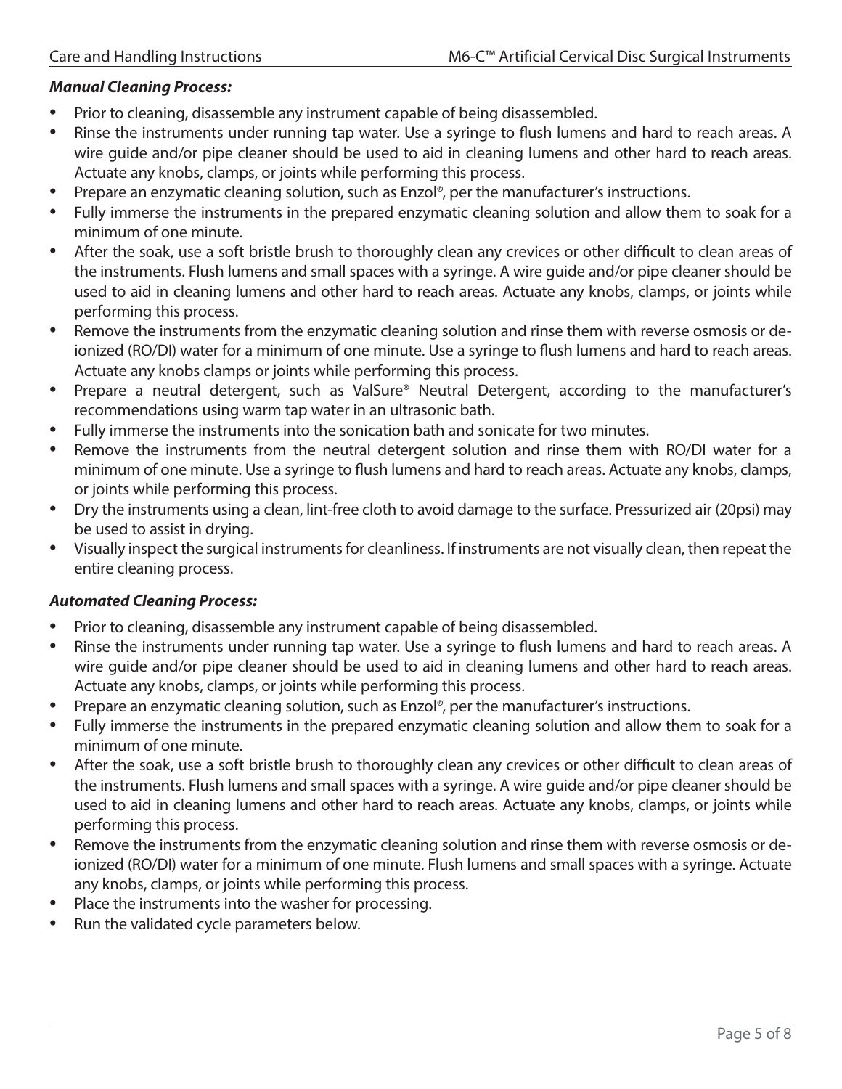#### *Manual Cleaning Process:*

- Prior to cleaning, disassemble any instrument capable of being disassembled.
- Rinse the instruments under running tap water. Use a syringe to flush lumens and hard to reach areas. A wire guide and/or pipe cleaner should be used to aid in cleaning lumens and other hard to reach areas. Actuate any knobs, clamps, or joints while performing this process.
- Prepare an enzymatic cleaning solution, such as Enzol®, per the manufacturer's instructions.
- Fully immerse the instruments in the prepared enzymatic cleaning solution and allow them to soak for a minimum of one minute.
- After the soak, use a soft bristle brush to thoroughly clean any crevices or other difficult to clean areas of the instruments. Flush lumens and small spaces with a syringe. A wire guide and/or pipe cleaner should be used to aid in cleaning lumens and other hard to reach areas. Actuate any knobs, clamps, or joints while performing this process.
- Remove the instruments from the enzymatic cleaning solution and rinse them with reverse osmosis or deionized (RO/DI) water for a minimum of one minute. Use a syringe to flush lumens and hard to reach areas. Actuate any knobs clamps or joints while performing this process.
- Prepare a neutral detergent, such as ValSure® Neutral Detergent, according to the manufacturer's recommendations using warm tap water in an ultrasonic bath.
- Fully immerse the instruments into the sonication bath and sonicate for two minutes.
- Remove the instruments from the neutral detergent solution and rinse them with RO/DI water for a minimum of one minute. Use a syringe to flush lumens and hard to reach areas. Actuate any knobs, clamps, or joints while performing this process.
- Dry the instruments using a clean, lint-free cloth to avoid damage to the surface. Pressurized air (20psi) may be used to assist in drying.
- Visually inspect the surgical instruments for cleanliness. If instruments are not visually clean, then repeat the entire cleaning process.

#### *Automated Cleaning Process:*

- Prior to cleaning, disassemble any instrument capable of being disassembled.
- Rinse the instruments under running tap water. Use a syringe to flush lumens and hard to reach areas. A wire guide and/or pipe cleaner should be used to aid in cleaning lumens and other hard to reach areas. Actuate any knobs, clamps, or joints while performing this process.
- Prepare an enzymatic cleaning solution, such as Enzol®, per the manufacturer's instructions.
- Fully immerse the instruments in the prepared enzymatic cleaning solution and allow them to soak for a minimum of one minute.
- After the soak, use a soft bristle brush to thoroughly clean any crevices or other difficult to clean areas of the instruments. Flush lumens and small spaces with a syringe. A wire guide and/or pipe cleaner should be used to aid in cleaning lumens and other hard to reach areas. Actuate any knobs, clamps, or joints while performing this process.
- Remove the instruments from the enzymatic cleaning solution and rinse them with reverse osmosis or deionized (RO/DI) water for a minimum of one minute. Flush lumens and small spaces with a syringe. Actuate any knobs, clamps, or joints while performing this process.
- Place the instruments into the washer for processing.
- Run the validated cycle parameters below.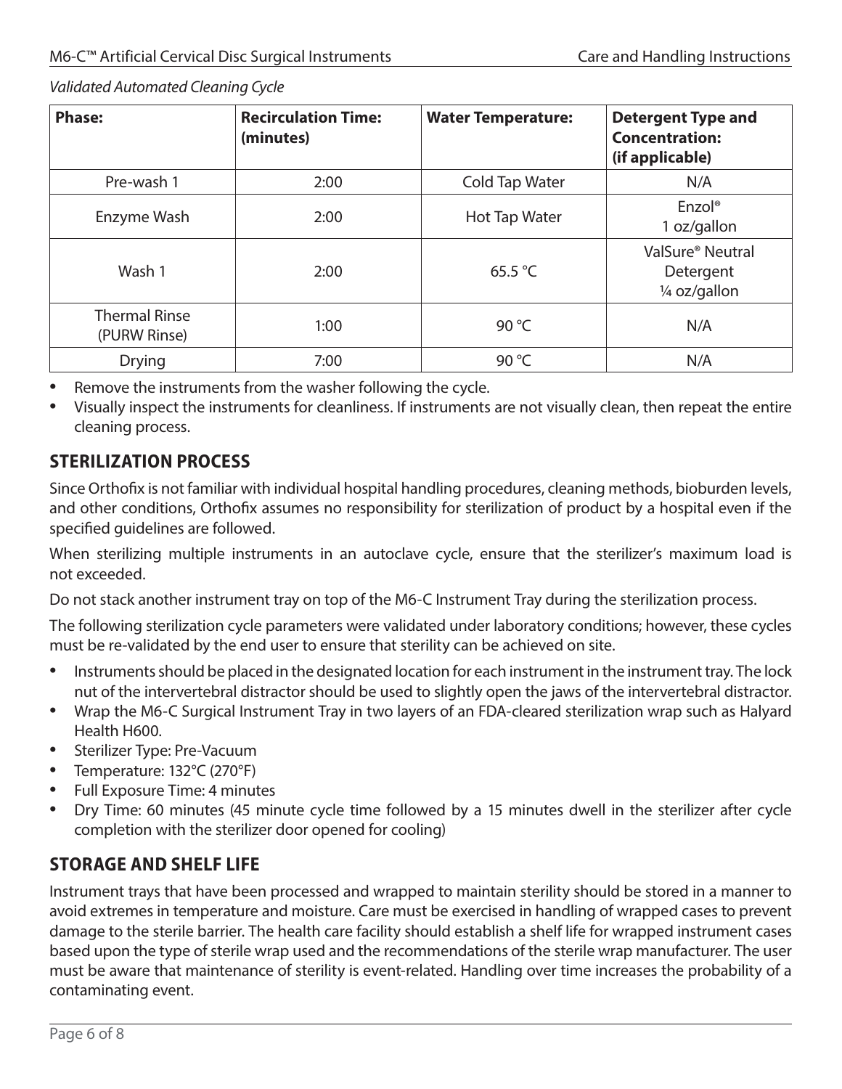*Validated Automated Cleaning Cycle*

| <b>Phase:</b>                        | <b>Recirculation Time:</b><br>(minutes) | <b>Water Temperature:</b> | <b>Detergent Type and</b><br><b>Concentration:</b><br>(if applicable) |
|--------------------------------------|-----------------------------------------|---------------------------|-----------------------------------------------------------------------|
| Pre-wash 1                           | 2:00                                    | Cold Tap Water            | N/A                                                                   |
| Enzyme Wash                          | 2:00                                    | Hot Tap Water             | Enzol <sup>®</sup><br>1 oz/gallon                                     |
| Wash 1                               | 2:00                                    | 65.5 $\degree$ C          | ValSure <sup>®</sup> Neutral<br>Detergent<br>1/4 oz/gallon            |
| <b>Thermal Rinse</b><br>(PURW Rinse) | 1:00                                    | 90 $°C$                   | N/A                                                                   |
| <b>Drying</b>                        | 7:00                                    | 90 °C                     | N/A                                                                   |

- Remove the instruments from the washer following the cycle.
- Visually inspect the instruments for cleanliness. If instruments are not visually clean, then repeat the entire cleaning process.

#### **STERILIZATION PROCESS**

Since Orthofix is not familiar with individual hospital handling procedures, cleaning methods, bioburden levels, and other conditions, Orthofix assumes no responsibility for sterilization of product by a hospital even if the specified guidelines are followed.

When sterilizing multiple instruments in an autoclave cycle, ensure that the sterilizer's maximum load is not exceeded.

Do not stack another instrument tray on top of the M6-C Instrument Tray during the sterilization process.

The following sterilization cycle parameters were validated under laboratory conditions; however, these cycles must be re-validated by the end user to ensure that sterility can be achieved on site.

- Instruments should be placed in the designated location for each instrument in the instrument tray. The lock nut of the intervertebral distractor should be used to slightly open the jaws of the intervertebral distractor.
- Wrap the M6-C Surgical Instrument Tray in two layers of an FDA-cleared sterilization wrap such as Halyard Health H600.
- Sterilizer Type: Pre-Vacuum
- Temperature: 132°C (270°F)
- Full Exposure Time: 4 minutes
- Dry Time: 60 minutes (45 minute cycle time followed by a 15 minutes dwell in the sterilizer after cycle completion with the sterilizer door opened for cooling)

#### **STORAGE AND SHELF LIFE**

Instrument trays that have been processed and wrapped to maintain sterility should be stored in a manner to avoid extremes in temperature and moisture. Care must be exercised in handling of wrapped cases to prevent damage to the sterile barrier. The health care facility should establish a shelf life for wrapped instrument cases based upon the type of sterile wrap used and the recommendations of the sterile wrap manufacturer. The user must be aware that maintenance of sterility is event-related. Handling over time increases the probability of a contaminating event.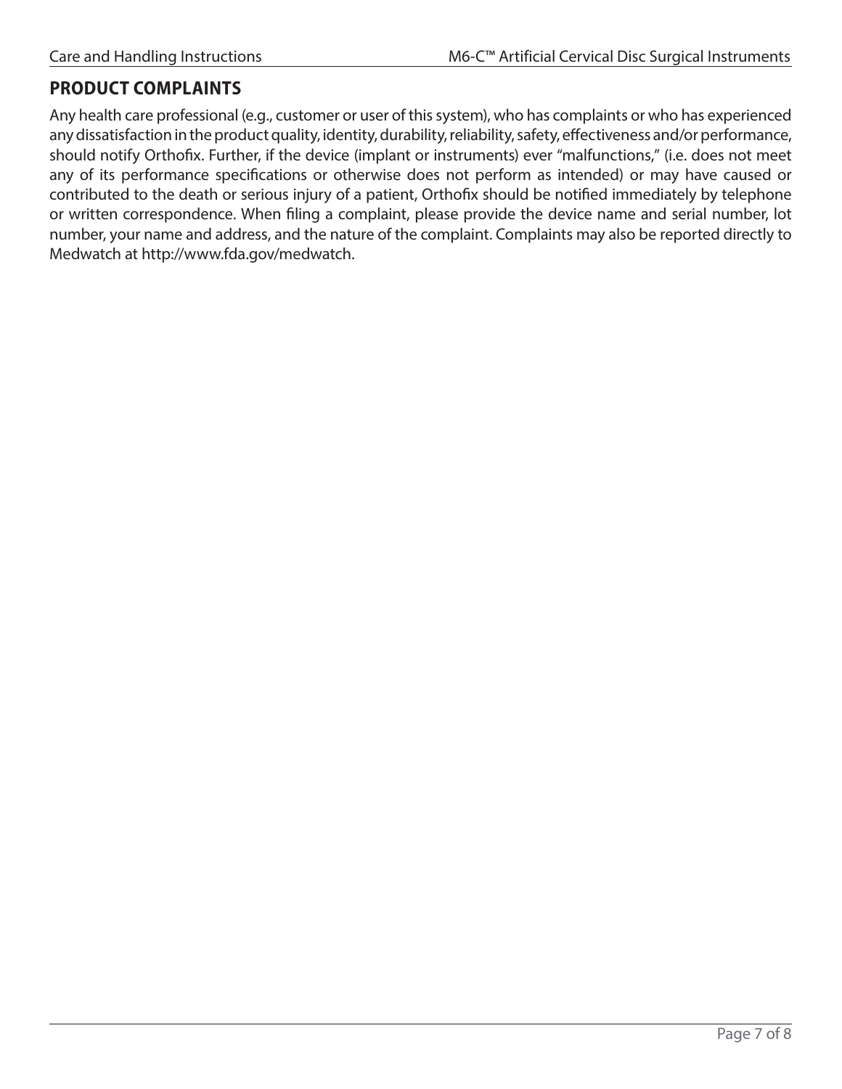#### **PRODUCT COMPLAINTS**

Any health care professional (e.g., customer or user of this system), who has complaints or who has experienced any dissatisfaction in the product quality, identity, durability, reliability, safety, effectiveness and/or performance, should notify Orthofix. Further, if the device (implant or instruments) ever "malfunctions," (i.e. does not meet any of its performance specifications or otherwise does not perform as intended) or may have caused or contributed to the death or serious injury of a patient, Orthofix should be notified immediately by telephone or written correspondence. When filing a complaint, please provide the device name and serial number, lot number, your name and address, and the nature of the complaint. Complaints may also be reported directly to Medwatch at [http://www.fda.gov/medwatch.](http://www.fda.gov/medwatch)